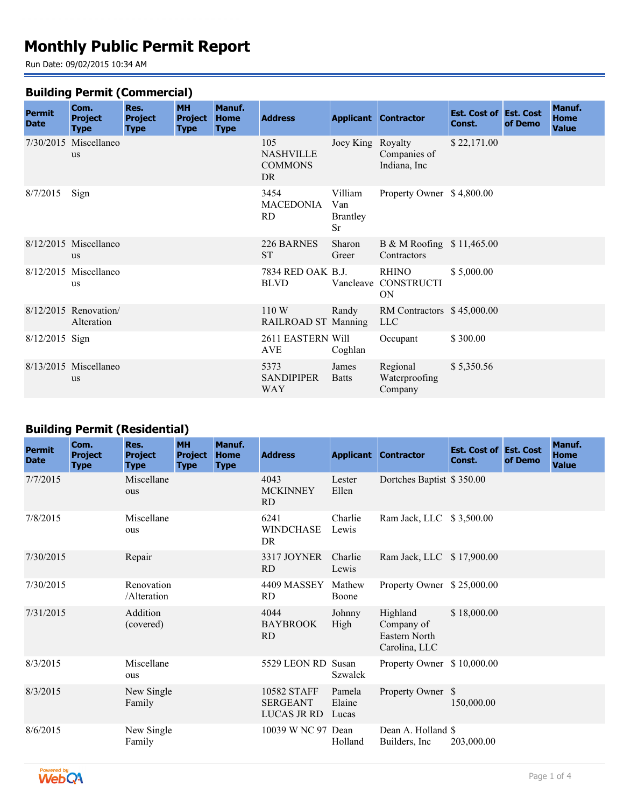# **Monthly Public Permit Report**

Run Date: 09/02/2015 10:34 AM

#### **Building Permit (Commercial)**

| <b>Permit</b>  | Com.                                 | Res.                          | <b>MH</b>                     | Manuf.                     |                                                  |                                                |                                            | <b>Est. Cost of Est. Cost</b> |         | Manuf.                      |
|----------------|--------------------------------------|-------------------------------|-------------------------------|----------------------------|--------------------------------------------------|------------------------------------------------|--------------------------------------------|-------------------------------|---------|-----------------------------|
| <b>Date</b>    | <b>Project</b><br><b>Type</b>        | <b>Project</b><br><b>Type</b> | <b>Project</b><br><b>Type</b> | <b>Home</b><br><b>Type</b> | <b>Address</b>                                   |                                                | <b>Applicant Contractor</b>                | Const.                        | of Demo | <b>Home</b><br><b>Value</b> |
|                | 7/30/2015 Miscellaneo<br><b>us</b>   |                               |                               |                            | 105<br><b>NASHVILLE</b><br><b>COMMONS</b><br>DR. | Joey King Royalty                              | Companies of<br>Indiana, Inc               | \$22,171.00                   |         |                             |
| 8/7/2015       | Sign                                 |                               |                               |                            | 3454<br><b>MACEDONIA</b><br><b>RD</b>            | Villiam<br>Van<br><b>Brantley</b><br><b>Sr</b> | Property Owner \$4,800.00                  |                               |         |                             |
|                | 8/12/2015 Miscellaneo<br>us          |                               |                               |                            | 226 BARNES<br><b>ST</b>                          | Sharon<br>Greer                                | B & M Roofing $$11,465.00$<br>Contractors  |                               |         |                             |
|                | $8/12/2015$ Miscellaneo<br><b>us</b> |                               |                               |                            | 7834 RED OAK B.J.<br><b>BLVD</b>                 |                                                | RHINO<br>Vancleave CONSTRUCTI<br><b>ON</b> | \$5,000.00                    |         |                             |
|                | $8/12/2015$ Renovation<br>Alteration |                               |                               |                            | 110W<br>RAILROAD ST Manning                      | Randy                                          | RM Contractors \$45,000.00<br>LLC          |                               |         |                             |
| 8/12/2015 Sign |                                      |                               |                               |                            | 2611 EASTERN Will<br><b>AVE</b>                  | Coghlan                                        | Occupant                                   | \$300.00                      |         |                             |
|                | 8/13/2015 Miscellaneo<br><b>us</b>   |                               |                               |                            | 5373<br><b>SANDIPIPER</b><br>WAY                 | James<br><b>Batts</b>                          | Regional<br>Waterproofing<br>Company       | \$5,350.56                    |         |                             |

## **Building Permit (Residential)**

| <b>Permit</b><br><b>Date</b> | Com.<br><b>Project</b><br><b>Type</b> | Res.<br><b>Project</b><br><b>Type</b> | <b>MH</b><br><b>Project</b><br><b>Type</b> | Manuf.<br><b>Home</b><br><b>Type</b> | <b>Address</b>                                |                           | <b>Applicant Contractor</b>                                     | <b>Est. Cost of Est. Cost</b><br>Const. | of Demo | Manuf.<br><b>Home</b><br><b>Value</b> |
|------------------------------|---------------------------------------|---------------------------------------|--------------------------------------------|--------------------------------------|-----------------------------------------------|---------------------------|-----------------------------------------------------------------|-----------------------------------------|---------|---------------------------------------|
| 7/7/2015                     |                                       | Miscellane<br>ous                     |                                            |                                      | 4043<br><b>MCKINNEY</b><br><b>RD</b>          | Lester<br>Ellen           | Dortches Baptist \$350.00                                       |                                         |         |                                       |
| 7/8/2015                     |                                       | Miscellane<br>ous                     |                                            |                                      | 6241<br><b>WINDCHASE</b><br><b>DR</b>         | Charlie<br>Lewis          | Ram Jack, LLC \$3,500.00                                        |                                         |         |                                       |
| 7/30/2015                    |                                       | Repair                                |                                            |                                      | 3317 JOYNER<br><b>RD</b>                      | Charlie<br>Lewis          | Ram Jack, LLC \$17,900.00                                       |                                         |         |                                       |
| 7/30/2015                    |                                       | Renovation<br>/Alteration             |                                            |                                      | 4409 MASSEY<br><b>RD</b>                      | Mathew<br>Boone           | Property Owner \$25,000.00                                      |                                         |         |                                       |
| 7/31/2015                    |                                       | Addition<br>(covered)                 |                                            |                                      | 4044<br><b>BAYBROOK</b><br><b>RD</b>          | Johnny<br>High            | Highland<br>Company of<br><b>Eastern North</b><br>Carolina, LLC | \$18,000.00                             |         |                                       |
| 8/3/2015                     |                                       | Miscellane<br>ous                     |                                            |                                      | 5529 LEON RD Susan                            | <b>Szwalek</b>            | Property Owner \$10,000.00                                      |                                         |         |                                       |
| 8/3/2015                     |                                       | New Single<br>Family                  |                                            |                                      | 10582 STAFF<br><b>SERGEANT</b><br>LUCAS JR RD | Pamela<br>Elaine<br>Lucas | Property Owner \$                                               | 150,000.00                              |         |                                       |
| 8/6/2015                     |                                       | New Single<br>Family                  |                                            |                                      | 10039 W NC 97 Dean                            | Holland                   | Dean A. Holland \$<br>Builders, Inc.                            | 203,000.00                              |         |                                       |

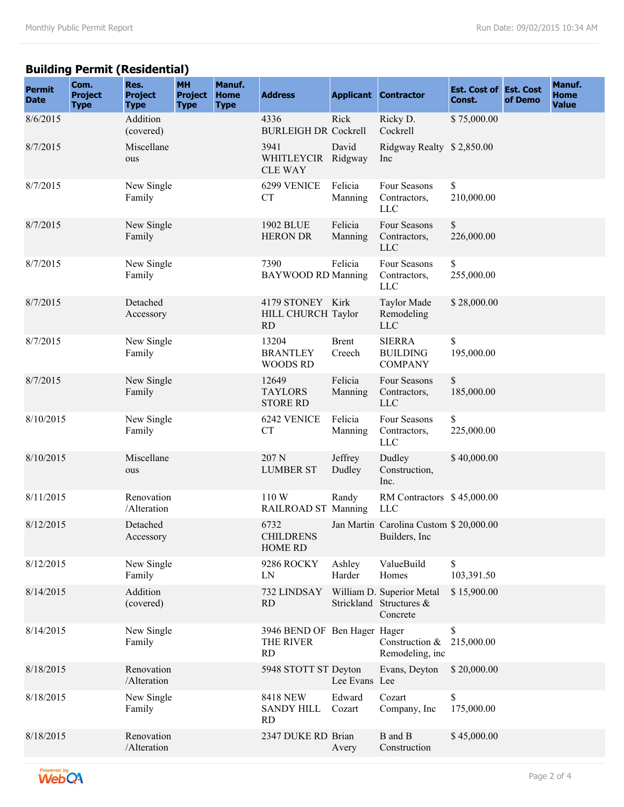## **Building Permit (Residential)**

| <b>Permit</b><br><b>Date</b> | Com.<br><b>Project</b><br><b>Type</b> | Res.<br><b>Project</b><br><b>Type</b> | <b>MH</b><br><b>Project</b><br><b>Type</b> | Manuf.<br><b>Home</b><br><b>Type</b> | <b>Address</b>                                         |                        | <b>Applicant Contractor</b>                                      | <b>Est. Cost of Est. Cost</b><br>Const. | of Demo | Manuf.<br><b>Home</b><br><b>Value</b> |
|------------------------------|---------------------------------------|---------------------------------------|--------------------------------------------|--------------------------------------|--------------------------------------------------------|------------------------|------------------------------------------------------------------|-----------------------------------------|---------|---------------------------------------|
| 8/6/2015                     |                                       | Addition<br>(covered)                 |                                            |                                      | 4336<br><b>BURLEIGH DR Cockrell</b>                    | Rick                   | Ricky D.<br>Cockrell                                             | \$75,000.00                             |         |                                       |
| 8/7/2015                     |                                       | Miscellane<br>ous                     |                                            |                                      | 3941<br>WHITLEYCIR Ridgway<br><b>CLE WAY</b>           | David                  | Ridgway Realty \$2,850.00<br>Inc                                 |                                         |         |                                       |
| 8/7/2015                     |                                       | New Single<br>Family                  |                                            |                                      | 6299 VENICE<br><b>CT</b>                               | Felicia<br>Manning     | Four Seasons<br>Contractors,<br><b>LLC</b>                       | \$<br>210,000.00                        |         |                                       |
| 8/7/2015                     |                                       | New Single<br>Family                  |                                            |                                      | <b>1902 BLUE</b><br><b>HERON DR</b>                    | Felicia<br>Manning     | Four Seasons<br>Contractors,<br><b>LLC</b>                       | \$<br>226,000.00                        |         |                                       |
| 8/7/2015                     |                                       | New Single<br>Family                  |                                            |                                      | 7390<br><b>BAYWOOD RD Manning</b>                      | Felicia                | Four Seasons<br>Contractors,<br><b>LLC</b>                       | \$<br>255,000.00                        |         |                                       |
| 8/7/2015                     |                                       | Detached<br>Accessory                 |                                            |                                      | 4179 STONEY Kirk<br>HILL CHURCH Taylor<br><b>RD</b>    |                        | <b>Taylor Made</b><br>Remodeling<br><b>LLC</b>                   | \$28,000.00                             |         |                                       |
| 8/7/2015                     |                                       | New Single<br>Family                  |                                            |                                      | 13204<br><b>BRANTLEY</b><br><b>WOODS RD</b>            | <b>Brent</b><br>Creech | <b>SIERRA</b><br><b>BUILDING</b><br><b>COMPANY</b>               | \$<br>195,000.00                        |         |                                       |
| 8/7/2015                     |                                       | New Single<br>Family                  |                                            |                                      | 12649<br><b>TAYLORS</b><br><b>STORE RD</b>             | Felicia<br>Manning     | Four Seasons<br>Contractors,<br><b>LLC</b>                       | \$<br>185,000.00                        |         |                                       |
| 8/10/2015                    |                                       | New Single<br>Family                  |                                            |                                      | 6242 VENICE<br><b>CT</b>                               | Felicia<br>Manning     | Four Seasons<br>Contractors,<br><b>LLC</b>                       | \$<br>225,000.00                        |         |                                       |
| 8/10/2015                    |                                       | Miscellane<br>ous                     |                                            |                                      | 207 N<br><b>LUMBER ST</b>                              | Jeffrey<br>Dudley      | Dudley<br>Construction,<br>Inc.                                  | \$40,000.00                             |         |                                       |
| 8/11/2015                    |                                       | Renovation<br>/Alteration             |                                            |                                      | 110 W<br>RAILROAD ST Manning                           | Randy                  | RM Contractors \$45,000.00<br><b>LLC</b>                         |                                         |         |                                       |
| 8/12/2015                    |                                       | Detached<br>Accessory                 |                                            |                                      | 6732<br><b>CHILDRENS</b><br><b>HOME RD</b>             |                        | Jan Martin Carolina Custom \$20,000.00<br>Builders, Inc          |                                         |         |                                       |
| 8/12/2015                    |                                       | New Single<br>Family                  |                                            |                                      | 9286 ROCKY<br>LN                                       | Ashley<br>Harder       | ValueBuild<br>Homes                                              | \$<br>103,391.50                        |         |                                       |
| 8/14/2015                    |                                       | Addition<br>(covered)                 |                                            |                                      | 732 LINDSAY<br><b>RD</b>                               |                        | William D. Superior Metal<br>Strickland Structures &<br>Concrete | \$15,900.00                             |         |                                       |
| 8/14/2015                    |                                       | New Single<br>Family                  |                                            |                                      | 3946 BEND OF Ben Hager Hager<br>THE RIVER<br><b>RD</b> |                        | Construction &<br>Remodeling, inc                                | \$<br>215,000.00                        |         |                                       |
| 8/18/2015                    |                                       | Renovation<br>/Alteration             |                                            |                                      | 5948 STOTT ST Deyton                                   | Lee Evans Lee          | Evans, Deyton                                                    | \$20,000.00                             |         |                                       |
| 8/18/2015                    |                                       | New Single<br>Family                  |                                            |                                      | <b>8418 NEW</b><br><b>SANDY HILL</b><br><b>RD</b>      | Edward<br>Cozart       | Cozart<br>Company, Inc                                           | \$<br>175,000.00                        |         |                                       |
| 8/18/2015                    |                                       | Renovation<br>/Alteration             |                                            |                                      | 2347 DUKE RD Brian                                     | Avery                  | B and B<br>Construction                                          | \$45,000.00                             |         |                                       |

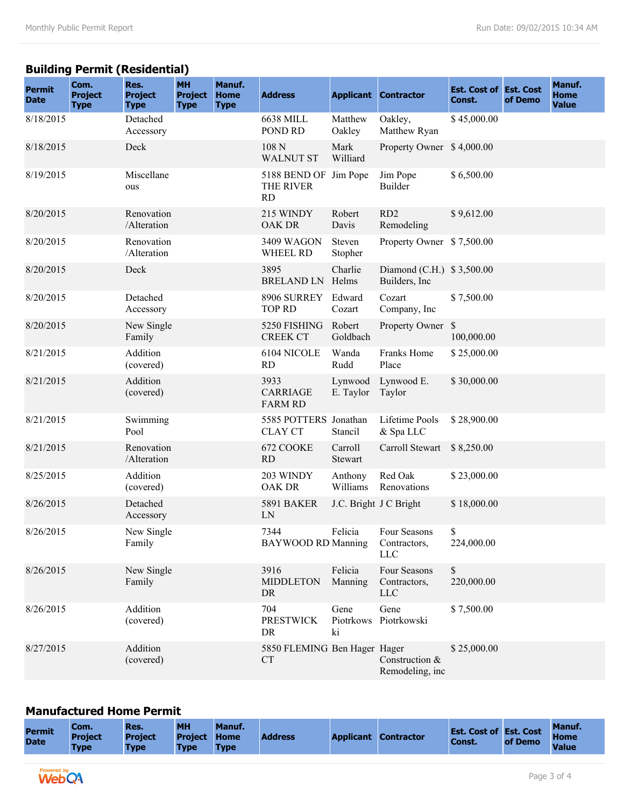## **Building Permit (Residential)**

| <b>Permit</b><br><b>Date</b> | Com.<br><b>Project</b><br><b>Type</b> | Res.<br><b>Project</b><br><b>Type</b> | <b>MH</b><br><b>Project</b><br><b>Type</b> | Manuf.<br><b>Home</b><br><b>Type</b> | <b>Address</b>                            |                         | <b>Applicant Contractor</b>                | <b>Est. Cost of Est. Cost</b><br>Const. | of Demo | Manuf.<br><b>Home</b><br><b>Value</b> |
|------------------------------|---------------------------------------|---------------------------------------|--------------------------------------------|--------------------------------------|-------------------------------------------|-------------------------|--------------------------------------------|-----------------------------------------|---------|---------------------------------------|
| 8/18/2015                    |                                       | Detached<br>Accessory                 |                                            |                                      | <b>6638 MILL</b><br>POND RD               | Matthew<br>Oakley       | Oakley,<br>Matthew Ryan                    | \$45,000.00                             |         |                                       |
| 8/18/2015                    |                                       | Deck                                  |                                            |                                      | 108 N<br><b>WALNUT ST</b>                 | Mark<br>Williard        | Property Owner                             | \$4,000.00                              |         |                                       |
| 8/19/2015                    |                                       | Miscellane<br>ous                     |                                            |                                      | 5188 BEND OF Jim Pope<br>THE RIVER<br>RD  |                         | Jim Pope<br><b>Builder</b>                 | \$6,500.00                              |         |                                       |
| 8/20/2015                    |                                       | Renovation<br>/Alteration             |                                            |                                      | 215 WINDY<br>OAK DR                       | Robert<br>Davis         | RD <sub>2</sub><br>Remodeling              | \$9,612.00                              |         |                                       |
| 8/20/2015                    |                                       | Renovation<br>/Alteration             |                                            |                                      | 3409 WAGON<br>WHEEL RD                    | Steven<br>Stopher       | Property Owner \$7,500.00                  |                                         |         |                                       |
| 8/20/2015                    |                                       | Deck                                  |                                            |                                      | 3895<br><b>BRELAND LN</b>                 | Charlie<br>Helms        | Diamond (C.H.) \$3,500.00<br>Builders, Inc |                                         |         |                                       |
| 8/20/2015                    |                                       | Detached<br>Accessory                 |                                            |                                      | 8906 SURREY<br><b>TOP RD</b>              | Edward<br>Cozart        | Cozart<br>Company, Inc.                    | \$7,500.00                              |         |                                       |
| 8/20/2015                    |                                       | New Single<br>Family                  |                                            |                                      | 5250 FISHING<br><b>CREEK CT</b>           | Robert<br>Goldbach      | Property Owner                             | \$<br>100,000.00                        |         |                                       |
| 8/21/2015                    |                                       | Addition<br>(covered)                 |                                            |                                      | 6104 NICOLE<br><b>RD</b>                  | Wanda<br>Rudd           | Franks Home<br>Place                       | \$25,000.00                             |         |                                       |
| 8/21/2015                    |                                       | Addition<br>(covered)                 |                                            |                                      | 3933<br><b>CARRIAGE</b><br><b>FARM RD</b> | Lynwood<br>E. Taylor    | Lynwood E.<br>Taylor                       | \$30,000.00                             |         |                                       |
| 8/21/2015                    |                                       | Swimming<br>Pool                      |                                            |                                      | 5585 POTTERS Jonathan<br><b>CLAY CT</b>   | Stancil                 | Lifetime Pools<br>& Spa LLC                | \$28,900.00                             |         |                                       |
| 8/21/2015                    |                                       | Renovation<br>/Alteration             |                                            |                                      | 672 COOKE<br><b>RD</b>                    | Carroll<br>Stewart      | Carroll Stewart                            | \$8,250.00                              |         |                                       |
| 8/25/2015                    |                                       | Addition<br>(covered)                 |                                            |                                      | 203 WINDY<br><b>OAK DR</b>                | Anthony<br>Williams     | Red Oak<br>Renovations                     | \$23,000.00                             |         |                                       |
| 8/26/2015                    |                                       | Detached<br>Accessory                 |                                            |                                      | <b>5891 BAKER</b><br>LN                   |                         | J.C. Bright J C Bright                     | \$18,000.00                             |         |                                       |
| 8/26/2015                    |                                       | New Single<br>Family                  |                                            |                                      | 7344<br><b>BAYWOOD RD Manning</b>         | Felicia                 | Four Seasons<br>Contractors,<br><b>LLC</b> | \$<br>224,000.00                        |         |                                       |
| 8/26/2015                    |                                       | New Single<br>Family                  |                                            |                                      | 3916<br><b>MIDDLETON</b><br>DR            | Felicia<br>Manning      | Four Seasons<br>Contractors,<br><b>LLC</b> | \$<br>220,000.00                        |         |                                       |
| 8/26/2015                    |                                       | Addition<br>(covered)                 |                                            |                                      | 704<br><b>PRESTWICK</b><br>DR             | Gene<br>Piotrkows<br>ki | Gene<br>Piotrkowski                        | \$7,500.00                              |         |                                       |
| 8/27/2015                    |                                       | Addition<br>(covered)                 |                                            |                                      | 5850 FLEMING Ben Hager Hager<br><b>CT</b> |                         | Construction &<br>Remodeling, inc          | \$25,000.00                             |         |                                       |

#### **Manufactured Home Permit**

| <b>Permit</b><br><b>Date</b> | Com.<br><b>Project</b><br><b>Type</b> | Res.<br><b>Project</b><br><b>Type</b> | <b>MH</b><br><b>Project</b><br><b>Type</b> | Manuf.<br><b>Home</b><br><b>Type</b> | <b>Address</b> | <b>Applicant</b> | <b>Contractor</b> | <b>Est. Cost of Est. Cost</b><br><b>Const.</b> | of Demo | <b>Manuf</b><br><b>Home</b><br><b>Value</b> |
|------------------------------|---------------------------------------|---------------------------------------|--------------------------------------------|--------------------------------------|----------------|------------------|-------------------|------------------------------------------------|---------|---------------------------------------------|
|                              |                                       |                                       |                                            |                                      |                |                  |                   |                                                |         |                                             |